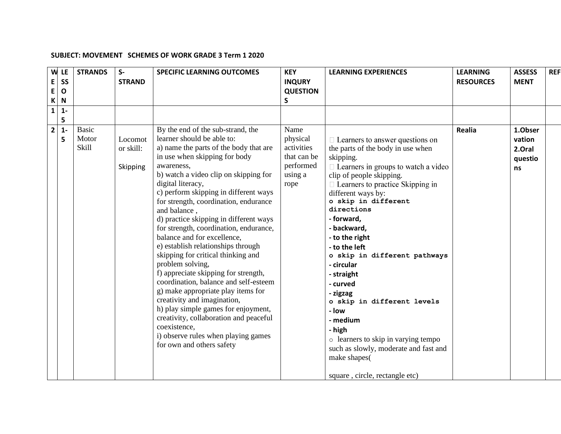## **SUBJECT: MOVEMENT SCHEMES OF WORK GRADE 3 Term 1 2020**

| W<br>E<br>E             | LE<br><b>SS</b><br>$\mathbf{o}$ | <b>STRANDS</b>                 | $S-$<br><b>STRAND</b>            | <b>SPECIFIC LEARNING OUTCOMES</b>                                                                                                                                                                                                                                                                                                                                                                                                                                                                                                                                                                                                                                                                                                                                                                                                                                      | <b>KEY</b><br><b>INQURY</b><br><b>QUESTION</b>                                | <b>LEARNING EXPERIENCES</b>                                                                                                                                                                                                                                                                                                                                                                                                                                                                                                                                                                                                 | <b>LEARNING</b><br><b>RESOURCES</b> | <b>ASSESS</b><br><b>MENT</b>                 | <b>REF</b> |
|-------------------------|---------------------------------|--------------------------------|----------------------------------|------------------------------------------------------------------------------------------------------------------------------------------------------------------------------------------------------------------------------------------------------------------------------------------------------------------------------------------------------------------------------------------------------------------------------------------------------------------------------------------------------------------------------------------------------------------------------------------------------------------------------------------------------------------------------------------------------------------------------------------------------------------------------------------------------------------------------------------------------------------------|-------------------------------------------------------------------------------|-----------------------------------------------------------------------------------------------------------------------------------------------------------------------------------------------------------------------------------------------------------------------------------------------------------------------------------------------------------------------------------------------------------------------------------------------------------------------------------------------------------------------------------------------------------------------------------------------------------------------------|-------------------------------------|----------------------------------------------|------------|
| К                       | N                               |                                |                                  |                                                                                                                                                                                                                                                                                                                                                                                                                                                                                                                                                                                                                                                                                                                                                                                                                                                                        | S                                                                             |                                                                                                                                                                                                                                                                                                                                                                                                                                                                                                                                                                                                                             |                                     |                                              |            |
| $\mathbf{1}$            | $1 -$<br>5                      |                                |                                  |                                                                                                                                                                                                                                                                                                                                                                                                                                                                                                                                                                                                                                                                                                                                                                                                                                                                        |                                                                               |                                                                                                                                                                                                                                                                                                                                                                                                                                                                                                                                                                                                                             |                                     |                                              |            |
| $\overline{\mathbf{2}}$ | $\mathbf{1}$<br>5               | <b>Basic</b><br>Motor<br>Skill | Locomot<br>or skill:<br>Skipping | By the end of the sub-strand, the<br>learner should be able to:<br>a) name the parts of the body that are<br>in use when skipping for body<br>awareness,<br>b) watch a video clip on skipping for<br>digital literacy,<br>c) perform skipping in different ways<br>for strength, coordination, endurance<br>and balance,<br>d) practice skipping in different ways<br>for strength, coordination, endurance,<br>balance and for excellence,<br>e) establish relationships through<br>skipping for critical thinking and<br>problem solving,<br>f) appreciate skipping for strength,<br>coordination, balance and self-esteem<br>g) make appropriate play items for<br>creativity and imagination,<br>h) play simple games for enjoyment,<br>creativity, collaboration and peaceful<br>coexistence,<br>i) observe rules when playing games<br>for own and others safety | Name<br>physical<br>activities<br>that can be<br>performed<br>using a<br>rope | $\Box$ Learners to answer questions on<br>the parts of the body in use when<br>skipping.<br>$\Box$ Learners in groups to watch a video<br>clip of people skipping.<br>$\Box$ Learners to practice Skipping in<br>different ways by:<br>o skip in different<br>directions<br>- forward,<br>- backward,<br>- to the right<br>- to the left<br>o skip in different pathways<br>- circular<br>- straight<br>- curved<br>- zigzag<br>o skip in different levels<br>- Iow<br>- medium<br>- high<br>o learners to skip in varying tempo<br>such as slowly, moderate and fast and<br>make shapes(<br>square, circle, rectangle etc) | Realia                              | 1.Obser<br>vation<br>2.Oral<br>questio<br>ns |            |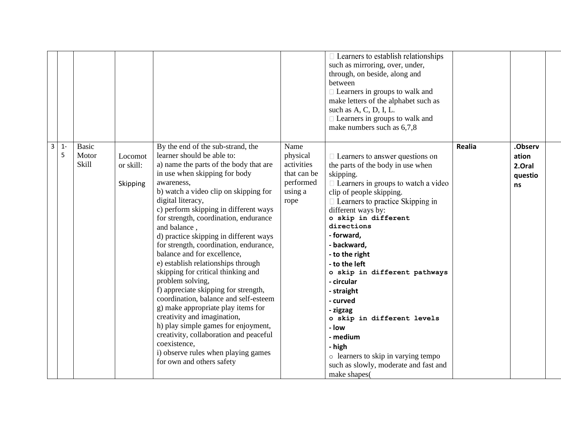|                |            |                                       |                                  |                                                                                                                                                                                                                                                                                                                                                                                                                                                                                                                                                                                                                                                                                                                                                                                                                                                                        |                                                                               | $\Box$ Learners to establish relationships<br>such as mirroring, over, under,<br>through, on beside, along and<br>between<br>$\Box$ Learners in groups to walk and<br>make letters of the alphabet such as<br>such as A, C, D, I, L.<br>$\Box$ Learners in groups to walk and<br>make numbers such as 6,7,8                                                                                                                                                                                                                                                                          |               |                                             |
|----------------|------------|---------------------------------------|----------------------------------|------------------------------------------------------------------------------------------------------------------------------------------------------------------------------------------------------------------------------------------------------------------------------------------------------------------------------------------------------------------------------------------------------------------------------------------------------------------------------------------------------------------------------------------------------------------------------------------------------------------------------------------------------------------------------------------------------------------------------------------------------------------------------------------------------------------------------------------------------------------------|-------------------------------------------------------------------------------|--------------------------------------------------------------------------------------------------------------------------------------------------------------------------------------------------------------------------------------------------------------------------------------------------------------------------------------------------------------------------------------------------------------------------------------------------------------------------------------------------------------------------------------------------------------------------------------|---------------|---------------------------------------------|
| $\overline{3}$ | $1 -$<br>5 | <b>Basic</b><br>Motor<br><b>Skill</b> | Locomot<br>or skill:<br>Skipping | By the end of the sub-strand, the<br>learner should be able to:<br>a) name the parts of the body that are<br>in use when skipping for body<br>awareness,<br>b) watch a video clip on skipping for<br>digital literacy,<br>c) perform skipping in different ways<br>for strength, coordination, endurance<br>and balance,<br>d) practice skipping in different ways<br>for strength, coordination, endurance,<br>balance and for excellence,<br>e) establish relationships through<br>skipping for critical thinking and<br>problem solving,<br>f) appreciate skipping for strength,<br>coordination, balance and self-esteem<br>g) make appropriate play items for<br>creativity and imagination,<br>h) play simple games for enjoyment,<br>creativity, collaboration and peaceful<br>coexistence,<br>i) observe rules when playing games<br>for own and others safety | Name<br>physical<br>activities<br>that can be<br>performed<br>using a<br>rope | $\Box$ Learners to answer questions on<br>the parts of the body in use when<br>skipping.<br>$\Box$ Learners in groups to watch a video<br>clip of people skipping.<br>□ Learners to practice Skipping in<br>different ways by:<br>o skip in different<br>directions<br>- forward,<br>- backward,<br>- to the right<br>- to the left<br>o skip in different pathways<br>- circular<br>- straight<br>- curved<br>- zigzag<br>o skip in different levels<br>- low<br>- medium<br>- high<br>o learners to skip in varying tempo<br>such as slowly, moderate and fast and<br>make shapes( | <b>Realia</b> | .Observ<br>ation<br>2.Oral<br>questio<br>ns |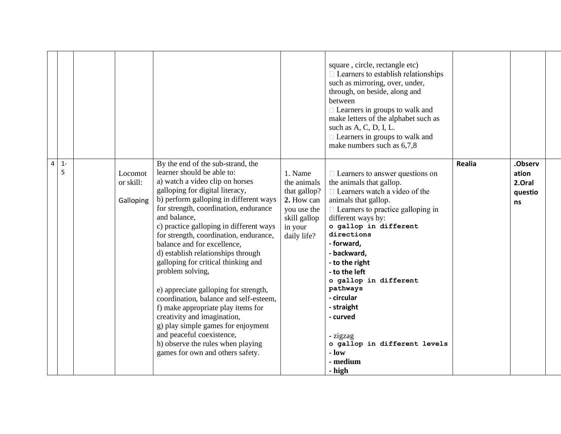|   |            |                                   |                                                                                                                                                                                                                                                                                                                                                                                                                                                                                                                                                                                                                                                                                                                                                                   |                                                                                                               | square, circle, rectangle etc)<br>$\Box$ Learners to establish relationships<br>such as mirroring, over, under,<br>through, on beside, along and<br>between<br>$\Box$ Learners in groups to walk and<br>make letters of the alphabet such as<br>such as A, C, D, I, L.<br>$\Box$ Learners in groups to walk and<br>make numbers such as 6,7,8                                                                                                                         |               |                                             |  |
|---|------------|-----------------------------------|-------------------------------------------------------------------------------------------------------------------------------------------------------------------------------------------------------------------------------------------------------------------------------------------------------------------------------------------------------------------------------------------------------------------------------------------------------------------------------------------------------------------------------------------------------------------------------------------------------------------------------------------------------------------------------------------------------------------------------------------------------------------|---------------------------------------------------------------------------------------------------------------|-----------------------------------------------------------------------------------------------------------------------------------------------------------------------------------------------------------------------------------------------------------------------------------------------------------------------------------------------------------------------------------------------------------------------------------------------------------------------|---------------|---------------------------------------------|--|
| 4 | $1 -$<br>5 | Locomot<br>or skill:<br>Galloping | By the end of the sub-strand, the<br>learner should be able to:<br>a) watch a video clip on horses<br>galloping for digital literacy,<br>b) perform galloping in different ways<br>for strength, coordination, endurance<br>and balance,<br>c) practice galloping in different ways<br>for strength, coordination, endurance,<br>balance and for excellence,<br>d) establish relationships through<br>galloping for critical thinking and<br>problem solving,<br>e) appreciate galloping for strength,<br>coordination, balance and self-esteem,<br>f) make appropriate play items for<br>creativity and imagination,<br>g) play simple games for enjoyment<br>and peaceful coexistence,<br>h) observe the rules when playing<br>games for own and others safety. | 1. Name<br>the animals<br>that gallop?<br>2. How can<br>you use the<br>skill gallop<br>in your<br>daily life? | $\Box$ Learners to answer questions on<br>the animals that gallop.<br>$\Box$ Learners watch a video of the<br>animals that gallop.<br>$\Box$ Learners to practice galloping in<br>different ways by:<br>o gallop in different<br>directions<br>- forward,<br>- backward,<br>- to the right<br>- to the left<br>o gallop in different<br>pathways<br>- circular<br>- straight<br>- curved<br>- zigzag<br>o gallop in different levels<br>$-$ low<br>- medium<br>- high | <b>Realia</b> | .Observ<br>ation<br>2.Oral<br>questio<br>ns |  |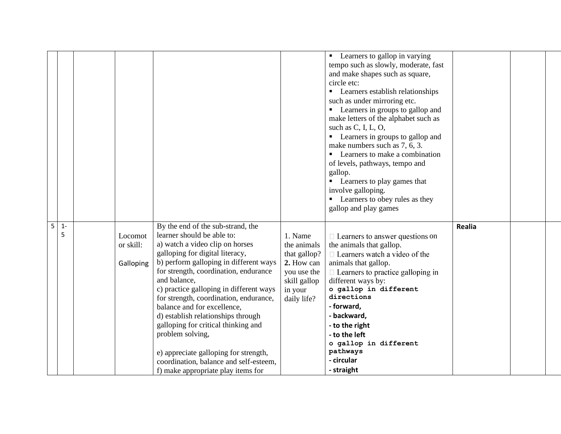|   |       |           |                                         |              | • Learners to gallop in varying          |        |  |
|---|-------|-----------|-----------------------------------------|--------------|------------------------------------------|--------|--|
|   |       |           |                                         |              | tempo such as slowly, moderate, fast     |        |  |
|   |       |           |                                         |              | and make shapes such as square,          |        |  |
|   |       |           |                                         |              | circle etc:                              |        |  |
|   |       |           |                                         |              | • Learners establish relationships       |        |  |
|   |       |           |                                         |              |                                          |        |  |
|   |       |           |                                         |              | such as under mirroring etc.             |        |  |
|   |       |           |                                         |              | • Learners in groups to gallop and       |        |  |
|   |       |           |                                         |              | make letters of the alphabet such as     |        |  |
|   |       |           |                                         |              | such as $C$ , I, L, O,                   |        |  |
|   |       |           |                                         |              | • Learners in groups to gallop and       |        |  |
|   |       |           |                                         |              | make numbers such as 7, 6, 3.            |        |  |
|   |       |           |                                         |              | • Learners to make a combination         |        |  |
|   |       |           |                                         |              | of levels, pathways, tempo and           |        |  |
|   |       |           |                                         |              | gallop.                                  |        |  |
|   |       |           |                                         |              | • Learners to play games that            |        |  |
|   |       |           |                                         |              | involve galloping.                       |        |  |
|   |       |           |                                         |              | • Learners to obey rules as they         |        |  |
|   |       |           |                                         |              | gallop and play games                    |        |  |
|   |       |           |                                         |              |                                          |        |  |
| 5 | $1 -$ |           | By the end of the sub-strand, the       |              |                                          | Realia |  |
|   | 5     | Locomot   | learner should be able to:              | 1. Name      | $\Box$ Learners to answer questions on   |        |  |
|   |       | or skill: | a) watch a video clip on horses         | the animals  | the animals that gallop.                 |        |  |
|   |       |           | galloping for digital literacy,         | that gallop? | $\Box$ Learners watch a video of the     |        |  |
|   |       | Galloping | b) perform galloping in different ways  | 2. How can   | animals that gallop.                     |        |  |
|   |       |           | for strength, coordination, endurance   | you use the  | $\Box$ Learners to practice galloping in |        |  |
|   |       |           | and balance,                            | skill gallop | different ways by:                       |        |  |
|   |       |           | c) practice galloping in different ways | in your      | o gallop in different                    |        |  |
|   |       |           | for strength, coordination, endurance,  | daily life?  | directions                               |        |  |
|   |       |           | balance and for excellence,             |              | - forward,                               |        |  |
|   |       |           | d) establish relationships through      |              | - backward,                              |        |  |
|   |       |           | galloping for critical thinking and     |              | - to the right                           |        |  |
|   |       |           | problem solving,                        |              | - to the left                            |        |  |
|   |       |           |                                         |              | o gallop in different                    |        |  |
|   |       |           | e) appreciate galloping for strength,   |              | pathways                                 |        |  |
|   |       |           |                                         |              |                                          |        |  |
|   |       |           | coordination, balance and self-esteem,  |              | - circular                               |        |  |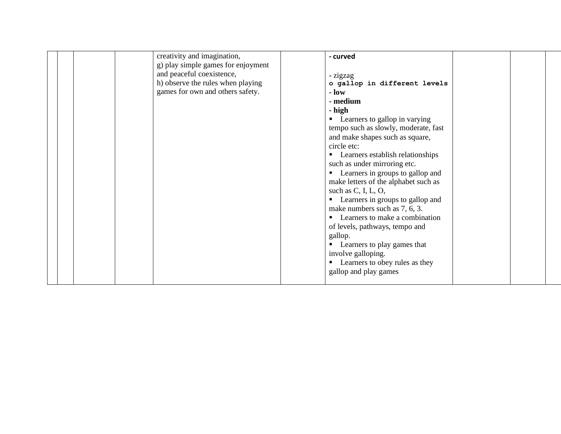|  | creativity and imagination,<br>g) play simple games for enjoyment<br>and peaceful coexistence,<br>h) observe the rules when playing<br>games for own and others safety. | - curved<br>- zigzag<br>o gallop in different levels<br>$ \bf{low}$<br>- medium<br>- high<br>• Learners to gallop in varying<br>tempo such as slowly, moderate, fast<br>and make shapes such as square,<br>circle etc:<br>• Learners establish relationships<br>such as under mirroring etc.<br>• Learners in groups to gallop and<br>make letters of the alphabet such as<br>such as $C$ , I, L, O,<br>• Learners in groups to gallop and<br>make numbers such as 7, 6, 3.<br>• Learners to make a combination<br>of levels, pathways, tempo and<br>gallop.<br>Learners to play games that<br>involve galloping.<br>• Learners to obey rules as they<br>gallop and play games |  |
|--|-------------------------------------------------------------------------------------------------------------------------------------------------------------------------|--------------------------------------------------------------------------------------------------------------------------------------------------------------------------------------------------------------------------------------------------------------------------------------------------------------------------------------------------------------------------------------------------------------------------------------------------------------------------------------------------------------------------------------------------------------------------------------------------------------------------------------------------------------------------------|--|
|--|-------------------------------------------------------------------------------------------------------------------------------------------------------------------------|--------------------------------------------------------------------------------------------------------------------------------------------------------------------------------------------------------------------------------------------------------------------------------------------------------------------------------------------------------------------------------------------------------------------------------------------------------------------------------------------------------------------------------------------------------------------------------------------------------------------------------------------------------------------------------|--|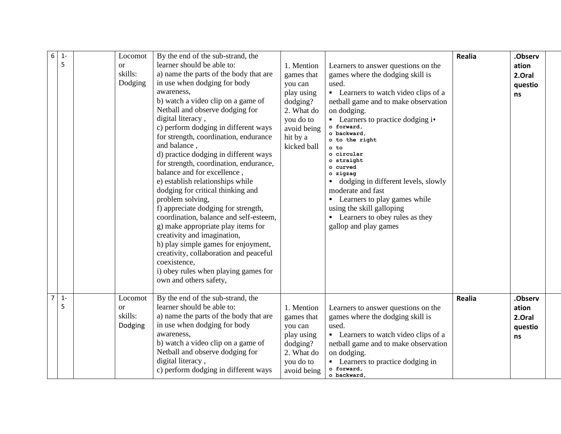| 6<br>$1 -$<br>5<br>$\overline{7}$ | Locomot<br><sub>or</sub><br>skills:<br>Dodging | By the end of the sub-strand, the<br>learner should be able to:<br>a) name the parts of the body that are<br>in use when dodging for body<br>awareness,<br>b) watch a video clip on a game of<br>Netball and observe dodging for<br>digital literacy,<br>c) perform dodging in different ways<br>for strength, coordination, endurance<br>and balance,<br>d) practice dodging in different ways<br>for strength, coordination, endurance,<br>balance and for excellence,<br>e) establish relationships while<br>dodging for critical thinking and<br>problem solving,<br>f) appreciate dodging for strength,<br>coordination, balance and self-esteem,<br>g) make appropriate play items for<br>creativity and imagination,<br>h) play simple games for enjoyment,<br>creativity, collaboration and peaceful<br>coexistence,<br>i) obey rules when playing games for<br>own and others safety, | 1. Mention<br>games that<br>you can<br>play using<br>dodging?<br>2. What do<br>you do to<br>avoid being<br>hit by a<br>kicked ball | Learners to answer questions on the<br>games where the dodging skill is<br>used.<br>• Learners to watch video clips of a<br>netball game and to make observation<br>on dodging.<br>$\blacksquare$ Learners to practice dodging i $\blacktriangleright$<br>o forward,<br>o backward<br>o to the right<br>o to<br>o circular<br>o straight<br>curved<br>o zigzag<br>dodging in different levels, slowly<br>moderate and fast<br>• Learners to play games while<br>using the skill galloping<br>• Learners to obey rules as they<br>gallop and play games | Realia | .Observ<br>ation<br>2.Oral<br>questio<br>ns |
|-----------------------------------|------------------------------------------------|------------------------------------------------------------------------------------------------------------------------------------------------------------------------------------------------------------------------------------------------------------------------------------------------------------------------------------------------------------------------------------------------------------------------------------------------------------------------------------------------------------------------------------------------------------------------------------------------------------------------------------------------------------------------------------------------------------------------------------------------------------------------------------------------------------------------------------------------------------------------------------------------|------------------------------------------------------------------------------------------------------------------------------------|--------------------------------------------------------------------------------------------------------------------------------------------------------------------------------------------------------------------------------------------------------------------------------------------------------------------------------------------------------------------------------------------------------------------------------------------------------------------------------------------------------------------------------------------------------|--------|---------------------------------------------|
| $1 -$<br>5                        | Locomot<br><sub>or</sub><br>skills:<br>Dodging | By the end of the sub-strand, the<br>learner should be able to:<br>a) name the parts of the body that are<br>in use when dodging for body<br>awareness.<br>b) watch a video clip on a game of<br>Netball and observe dodging for<br>digital literacy,<br>c) perform dodging in different ways                                                                                                                                                                                                                                                                                                                                                                                                                                                                                                                                                                                                  | 1. Mention<br>games that<br>you can<br>play using<br>dodging?<br>2. What do<br>you do to<br>avoid being                            | Learners to answer questions on the<br>games where the dodging skill is<br>used.<br>• Learners to watch video clips of a<br>netball game and to make observation<br>on dodging.<br>• Learners to practice dodging in<br>o forward,<br>o backward.                                                                                                                                                                                                                                                                                                      | Realia | .Observ<br>ation<br>2.Oral<br>questio<br>ns |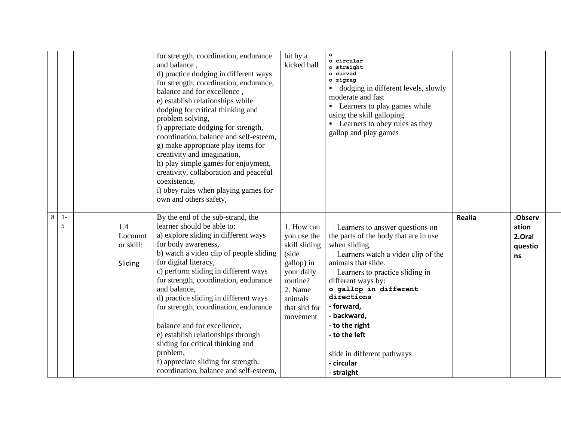|   |            |                                        | for strength, coordination, endurance<br>and balance,<br>d) practice dodging in different ways<br>for strength, coordination, endurance,<br>balance and for excellence,<br>e) establish relationships while<br>dodging for critical thinking and<br>problem solving,<br>f) appreciate dodging for strength,<br>coordination, balance and self-esteem,<br>g) make appropriate play items for<br>creativity and imagination,<br>h) play simple games for enjoyment,<br>creativity, collaboration and peaceful<br>coexistence,<br>i) obey rules when playing games for<br>own and others safety, | hit by a<br>kicked ball                                                                                                                        | $\circ$<br>o circular<br>o straight<br>o curved<br>o zigzag<br>dodging in different levels, slowly<br>moderate and fast<br>• Learners to play games while<br>using the skill galloping<br>• Learners to obey rules as they<br>gallop and play games                                                                                                                                                    |        |                                             |  |
|---|------------|----------------------------------------|-----------------------------------------------------------------------------------------------------------------------------------------------------------------------------------------------------------------------------------------------------------------------------------------------------------------------------------------------------------------------------------------------------------------------------------------------------------------------------------------------------------------------------------------------------------------------------------------------|------------------------------------------------------------------------------------------------------------------------------------------------|--------------------------------------------------------------------------------------------------------------------------------------------------------------------------------------------------------------------------------------------------------------------------------------------------------------------------------------------------------------------------------------------------------|--------|---------------------------------------------|--|
| 8 | $1 -$<br>5 | 1.4<br>Locomot<br>or skill:<br>Sliding | By the end of the sub-strand, the<br>learner should be able to:<br>a) explore sliding in different ways<br>for body awareness,<br>b) watch a video clip of people sliding<br>for digital literacy,<br>c) perform sliding in different ways<br>for strength, coordination, endurance<br>and balance,<br>d) practice sliding in different ways<br>for strength, coordination, endurance<br>balance and for excellence,<br>e) establish relationships through<br>sliding for critical thinking and<br>problem,<br>f) appreciate sliding for strength,<br>coordination, balance and self-esteem,  | 1. How can<br>you use the<br>skill sliding<br>(side<br>gallop) in<br>your daily<br>routine?<br>2. Name<br>animals<br>that slid for<br>movement | $\Box$ Learners to answer questions on<br>the parts of the body that are in use<br>when sliding.<br>$\Box$ Learners watch a video clip of the<br>animals that slide.<br>$\Box$ Learners to practice sliding in<br>different ways by:<br>o gallop in different<br>directions<br>- forward,<br>- backward,<br>- to the right<br>- to the left<br>slide in different pathways<br>- circular<br>- straight | Realia | .Observ<br>ation<br>2.Oral<br>questio<br>ns |  |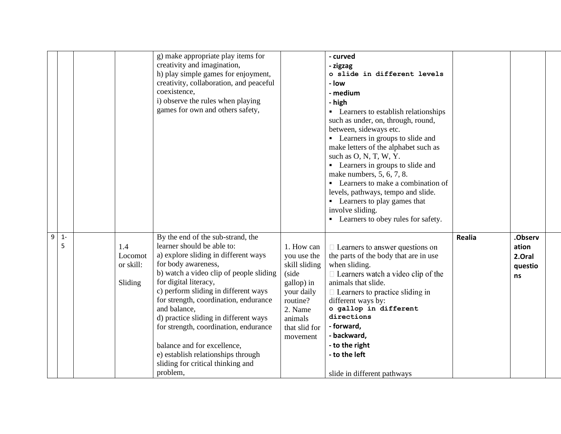|                 |                                        | g) make appropriate play items for<br>creativity and imagination,<br>h) play simple games for enjoyment,<br>creativity, collaboration, and peaceful<br>coexistence,<br>i) observe the rules when playing<br>games for own and others safety,                                                                                                                                                                                                                                                                |                                                                                                                                                | - curved<br>- zigzag<br>o slide in different levels<br>- low<br>- medium<br>- high<br>Learners to establish relationships<br>٠<br>such as under, on, through, round,<br>between, sideways etc.<br>• Learners in groups to slide and<br>make letters of the alphabet such as<br>such as $O, N, T, W, Y$ .<br>• Learners in groups to slide and<br>make numbers, 5, 6, 7, 8.<br>• Learners to make a combination of<br>levels, pathways, tempo and slide.<br>• Learners to play games that<br>involve sliding.<br>• Learners to obey rules for safety. |        |                                             |
|-----------------|----------------------------------------|-------------------------------------------------------------------------------------------------------------------------------------------------------------------------------------------------------------------------------------------------------------------------------------------------------------------------------------------------------------------------------------------------------------------------------------------------------------------------------------------------------------|------------------------------------------------------------------------------------------------------------------------------------------------|------------------------------------------------------------------------------------------------------------------------------------------------------------------------------------------------------------------------------------------------------------------------------------------------------------------------------------------------------------------------------------------------------------------------------------------------------------------------------------------------------------------------------------------------------|--------|---------------------------------------------|
| 9<br>$1 -$<br>5 | 1.4<br>Locomot<br>or skill:<br>Sliding | By the end of the sub-strand, the<br>learner should be able to:<br>a) explore sliding in different ways<br>for body awareness,<br>b) watch a video clip of people sliding<br>for digital literacy,<br>c) perform sliding in different ways<br>for strength, coordination, endurance<br>and balance,<br>d) practice sliding in different ways<br>for strength, coordination, endurance<br>balance and for excellence,<br>e) establish relationships through<br>sliding for critical thinking and<br>problem, | 1. How can<br>you use the<br>skill sliding<br>(side<br>gallop) in<br>your daily<br>routine?<br>2. Name<br>animals<br>that slid for<br>movement | $\Box$ Learners to answer questions on<br>the parts of the body that are in use<br>when sliding.<br>$\Box$ Learners watch a video clip of the<br>animals that slide.<br>$\Box$ Learners to practice sliding in<br>different ways by:<br>o gallop in different<br>directions<br>- forward,<br>- backward,<br>- to the right<br>- to the left<br>slide in different pathways                                                                                                                                                                           | Realia | .Observ<br>ation<br>2.Oral<br>questio<br>ns |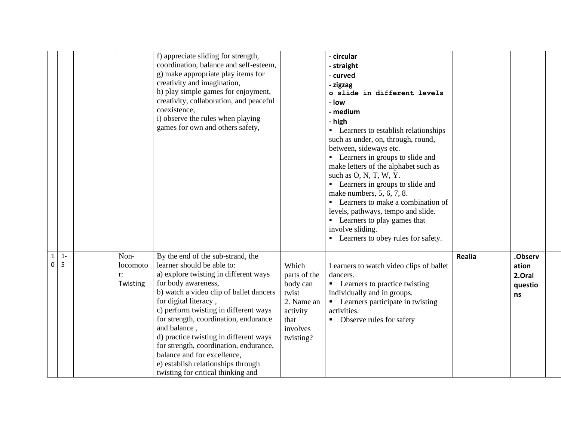|                            |            |            |                      | f) appreciate sliding for strength,<br>coordination, balance and self-esteem,<br>g) make appropriate play items for<br>creativity and imagination,<br>h) play simple games for enjoyment,<br>creativity, collaboration, and peaceful<br>coexistence,<br>i) observe the rules when playing<br>games for own and others safety,                                                                                                                                                                        |                                                                                                       | - circular<br>- straight<br>- curved<br>- zigzag<br>o slide in different levels<br>- low<br>- medium<br>- high<br>• Learners to establish relationships<br>such as under, on, through, round,<br>between, sideways etc.<br>• Learners in groups to slide and<br>make letters of the alphabet such as<br>such as $O, N, T, W, Y$ .<br>• Learners in groups to slide and<br>make numbers, 5, 6, 7, 8.<br>• Learners to make a combination of<br>levels, pathways, tempo and slide.<br>• Learners to play games that<br>involve sliding.<br>• Learners to obey rules for safety. |        |                                             |  |
|----------------------------|------------|------------|----------------------|------------------------------------------------------------------------------------------------------------------------------------------------------------------------------------------------------------------------------------------------------------------------------------------------------------------------------------------------------------------------------------------------------------------------------------------------------------------------------------------------------|-------------------------------------------------------------------------------------------------------|-------------------------------------------------------------------------------------------------------------------------------------------------------------------------------------------------------------------------------------------------------------------------------------------------------------------------------------------------------------------------------------------------------------------------------------------------------------------------------------------------------------------------------------------------------------------------------|--------|---------------------------------------------|--|
| $\mathbf 1$<br>$\mathbf 0$ | $1 -$<br>5 | Non-<br>r: | locomoto<br>Twisting | By the end of the sub-strand, the<br>learner should be able to:<br>a) explore twisting in different ways<br>for body awareness,<br>b) watch a video clip of ballet dancers<br>for digital literacy,<br>c) perform twisting in different ways<br>for strength, coordination, endurance<br>and balance,<br>d) practice twisting in different ways<br>for strength, coordination, endurance,<br>balance and for excellence,<br>e) establish relationships through<br>twisting for critical thinking and | Which<br>parts of the<br>body can<br>twist<br>2. Name an<br>activity<br>that<br>involves<br>twisting? | Learners to watch video clips of ballet<br>dancers.<br>• Learners to practice twisting<br>individually and in groups.<br>• Learners participate in twisting<br>activities.<br>• Observe rules for safety                                                                                                                                                                                                                                                                                                                                                                      | Realia | .Observ<br>ation<br>2.Oral<br>questio<br>ns |  |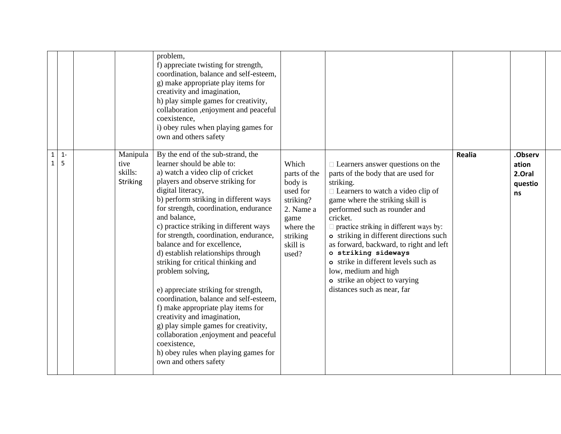|                              |            |                                                | problem,<br>f) appreciate twisting for strength,<br>coordination, balance and self-esteem,<br>g) make appropriate play items for<br>creativity and imagination,<br>h) play simple games for creativity,<br>collaboration , enjoyment and peaceful<br>coexistence,<br>i) obey rules when playing games for<br>own and others safety                                                                                                                                                                                                                                                                                                                                                                                                                                                                          |                                                                                                                              |                                                                                                                                                                                                                                                                                                                                                                                                                                                                                                                         |        |                                             |  |
|------------------------------|------------|------------------------------------------------|-------------------------------------------------------------------------------------------------------------------------------------------------------------------------------------------------------------------------------------------------------------------------------------------------------------------------------------------------------------------------------------------------------------------------------------------------------------------------------------------------------------------------------------------------------------------------------------------------------------------------------------------------------------------------------------------------------------------------------------------------------------------------------------------------------------|------------------------------------------------------------------------------------------------------------------------------|-------------------------------------------------------------------------------------------------------------------------------------------------------------------------------------------------------------------------------------------------------------------------------------------------------------------------------------------------------------------------------------------------------------------------------------------------------------------------------------------------------------------------|--------|---------------------------------------------|--|
| $\mathbf{1}$<br>$\mathbf{1}$ | $1 -$<br>5 | Manipula<br>tive<br>skills:<br><b>Striking</b> | By the end of the sub-strand, the<br>learner should be able to:<br>a) watch a video clip of cricket<br>players and observe striking for<br>digital literacy,<br>b) perform striking in different ways<br>for strength, coordination, endurance<br>and balance,<br>c) practice striking in different ways<br>for strength, coordination, endurance,<br>balance and for excellence,<br>d) establish relationships through<br>striking for critical thinking and<br>problem solving,<br>e) appreciate striking for strength,<br>coordination, balance and self-esteem,<br>f) make appropriate play items for<br>creativity and imagination,<br>g) play simple games for creativity,<br>collaboration , enjoyment and peaceful<br>coexistence,<br>h) obey rules when playing games for<br>own and others safety | Which<br>parts of the<br>body is<br>used for<br>striking?<br>2. Name a<br>game<br>where the<br>striking<br>skill is<br>used? | $\Box$ Learners answer questions on the<br>parts of the body that are used for<br>striking.<br>$\Box$ Learners to watch a video clip of<br>game where the striking skill is<br>performed such as rounder and<br>cricket.<br>$\Box$ practice striking in different ways by:<br>o striking in different directions such<br>as forward, backward, to right and left<br>o striking sideways<br>o strike in different levels such as<br>low, medium and high<br>o strike an object to varying<br>distances such as near, far | Realia | .Observ<br>ation<br>2.Oral<br>questio<br>ns |  |